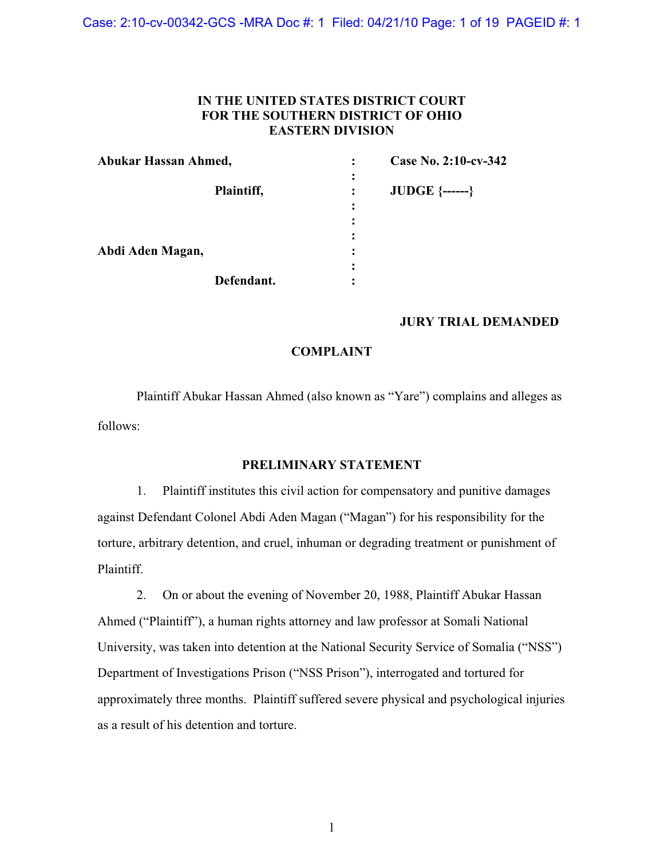Case: 2:10-cv-00342-GCS -MRA Doc #: 1 Filed: 04/21/10 Page: 1 of 19 PAGEID #: 1

## **IN THE UNITED STATES DISTRICT COURT FOR THE SOUTHERN DISTRICT OF OHIO EASTERN DIVISION**

| Abukar Hassan Ahmed, |            | $\ddot{\cdot}$ | Case No. 2:10-cv-342    |
|----------------------|------------|----------------|-------------------------|
|                      | Plaintiff, | ٠              | <b>JUDGE</b> $\{----\}$ |
|                      |            | ٠              |                         |
|                      |            |                |                         |
|                      |            | ٠              |                         |
| Abdi Aden Magan,     |            |                |                         |
|                      |            | ٠              |                         |
|                      | Defendant. |                |                         |

## **JURY TRIAL DEMANDED**

## **COMPLAINT**

Plaintiff Abukar Hassan Ahmed (also known as "Yare") complains and alleges as follows:

## **PRELIMINARY STATEMENT**

1. Plaintiff institutes this civil action for compensatory and punitive damages against Defendant Colonel Abdi Aden Magan ("Magan") for his responsibility for the torture, arbitrary detention, and cruel, inhuman or degrading treatment or punishment of Plaintiff.

2. On or about the evening of November 20, 1988, Plaintiff Abukar Hassan Ahmed ("Plaintiff"), a human rights attorney and law professor at Somali National University, was taken into detention at the National Security Service of Somalia ("NSS") Department of Investigations Prison ("NSS Prison"), interrogated and tortured for approximately three months. Plaintiff suffered severe physical and psychological injuries as a result of his detention and torture.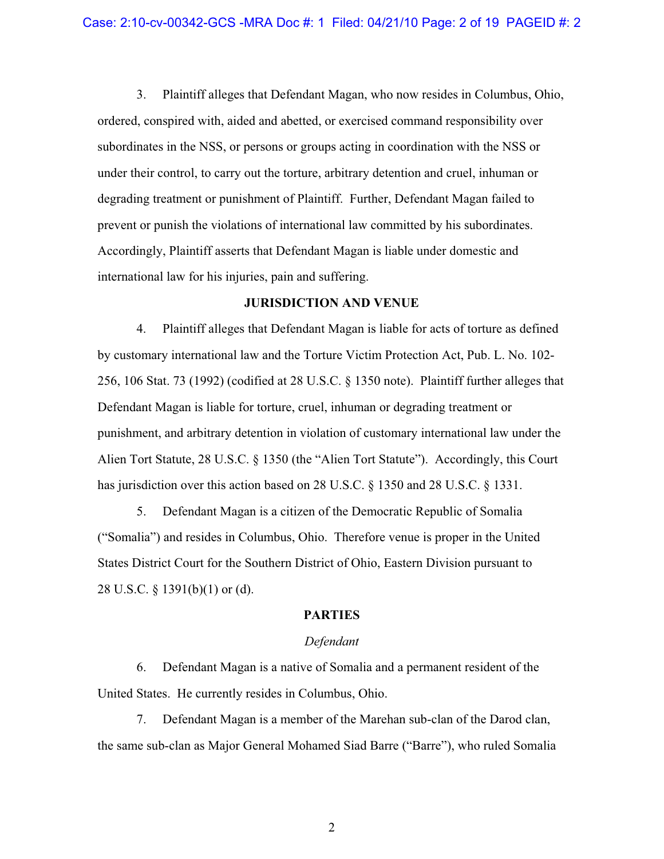3. Plaintiff alleges that Defendant Magan, who now resides in Columbus, Ohio, ordered, conspired with, aided and abetted, or exercised command responsibility over subordinates in the NSS, or persons or groups acting in coordination with the NSS or under their control, to carry out the torture, arbitrary detention and cruel, inhuman or degrading treatment or punishment of Plaintiff. Further, Defendant Magan failed to prevent or punish the violations of international law committed by his subordinates. Accordingly, Plaintiff asserts that Defendant Magan is liable under domestic and international law for his injuries, pain and suffering.

#### **JURISDICTION AND VENUE**

4. Plaintiff alleges that Defendant Magan is liable for acts of torture as defined by customary international law and the Torture Victim Protection Act, Pub. L. No. 102- 256, 106 Stat. 73 (1992) (codified at 28 U.S.C. § 1350 note). Plaintiff further alleges that Defendant Magan is liable for torture, cruel, inhuman or degrading treatment or punishment, and arbitrary detention in violation of customary international law under the Alien Tort Statute, 28 U.S.C. § 1350 (the "Alien Tort Statute"). Accordingly, this Court has jurisdiction over this action based on 28 U.S.C. § 1350 and 28 U.S.C. § 1331.

5. Defendant Magan is a citizen of the Democratic Republic of Somalia ("Somalia") and resides in Columbus, Ohio. Therefore venue is proper in the United States District Court for the Southern District of Ohio, Eastern Division pursuant to 28 U.S.C. § 1391(b)(1) or (d).

## **PARTIES**

#### *Defendant*

6. Defendant Magan is a native of Somalia and a permanent resident of the United States. He currently resides in Columbus, Ohio.

7. Defendant Magan is a member of the Marehan sub-clan of the Darod clan, the same sub-clan as Major General Mohamed Siad Barre ("Barre"), who ruled Somalia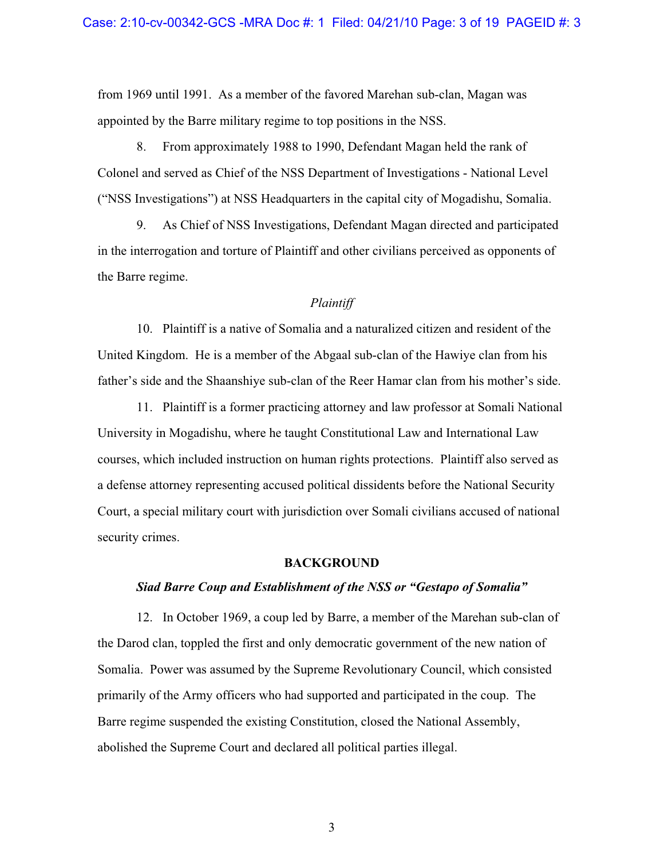from 1969 until 1991. As a member of the favored Marehan sub-clan, Magan was appointed by the Barre military regime to top positions in the NSS.

8. From approximately 1988 to 1990, Defendant Magan held the rank of Colonel and served as Chief of the NSS Department of Investigations - National Level ("NSS Investigations") at NSS Headquarters in the capital city of Mogadishu, Somalia.

9. As Chief of NSS Investigations, Defendant Magan directed and participated in the interrogation and torture of Plaintiff and other civilians perceived as opponents of the Barre regime.

## *Plaintiff*

10. Plaintiff is a native of Somalia and a naturalized citizen and resident of the United Kingdom. He is a member of the Abgaal sub-clan of the Hawiye clan from his father's side and the Shaanshiye sub-clan of the Reer Hamar clan from his mother's side.

11. Plaintiff is a former practicing attorney and law professor at Somali National University in Mogadishu, where he taught Constitutional Law and International Law courses, which included instruction on human rights protections. Plaintiff also served as a defense attorney representing accused political dissidents before the National Security Court, a special military court with jurisdiction over Somali civilians accused of national security crimes.

#### **BACKGROUND**

## *Siad Barre Coup and Establishment of the NSS or "Gestapo of Somalia"*

12. In October 1969, a coup led by Barre, a member of the Marehan sub-clan of the Darod clan, toppled the first and only democratic government of the new nation of Somalia. Power was assumed by the Supreme Revolutionary Council, which consisted primarily of the Army officers who had supported and participated in the coup. The Barre regime suspended the existing Constitution, closed the National Assembly, abolished the Supreme Court and declared all political parties illegal.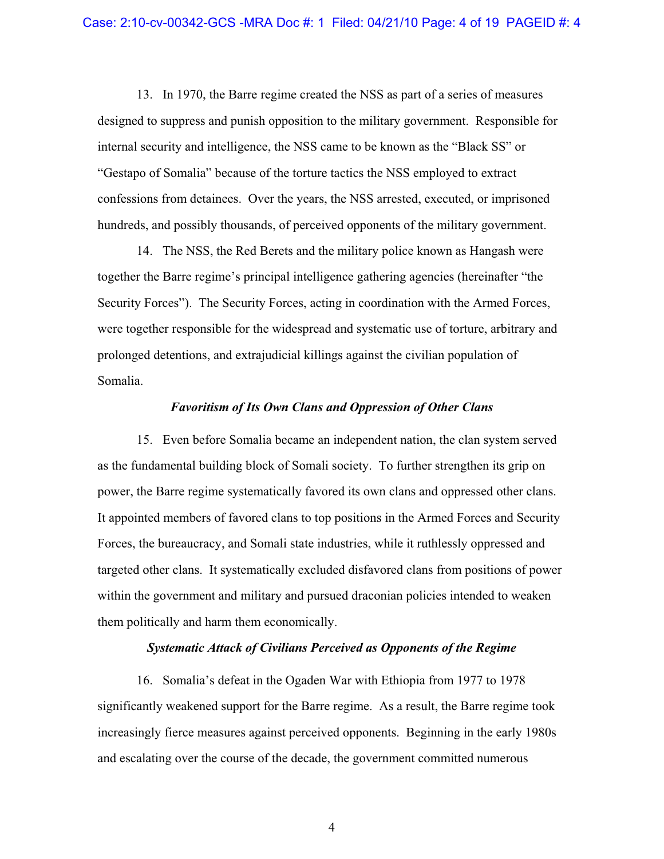13. In 1970, the Barre regime created the NSS as part of a series of measures designed to suppress and punish opposition to the military government. Responsible for internal security and intelligence, the NSS came to be known as the "Black SS" or "Gestapo of Somalia" because of the torture tactics the NSS employed to extract confessions from detainees. Over the years, the NSS arrested, executed, or imprisoned hundreds, and possibly thousands, of perceived opponents of the military government.

14. The NSS, the Red Berets and the military police known as Hangash were together the Barre regime's principal intelligence gathering agencies (hereinafter "the Security Forces"). The Security Forces, acting in coordination with the Armed Forces, were together responsible for the widespread and systematic use of torture, arbitrary and prolonged detentions, and extrajudicial killings against the civilian population of Somalia.

## *Favoritism of Its Own Clans and Oppression of Other Clans*

15. Even before Somalia became an independent nation, the clan system served as the fundamental building block of Somali society. To further strengthen its grip on power, the Barre regime systematically favored its own clans and oppressed other clans. It appointed members of favored clans to top positions in the Armed Forces and Security Forces, the bureaucracy, and Somali state industries, while it ruthlessly oppressed and targeted other clans. It systematically excluded disfavored clans from positions of power within the government and military and pursued draconian policies intended to weaken them politically and harm them economically.

#### *Systematic Attack of Civilians Perceived as Opponents of the Regime*

16. Somalia's defeat in the Ogaden War with Ethiopia from 1977 to 1978 significantly weakened support for the Barre regime. As a result, the Barre regime took increasingly fierce measures against perceived opponents. Beginning in the early 1980s and escalating over the course of the decade, the government committed numerous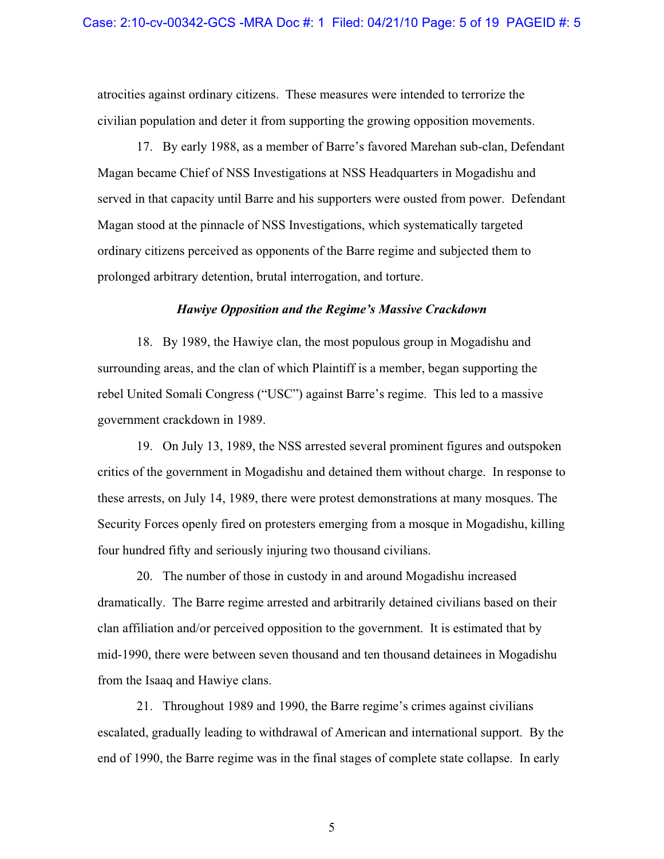atrocities against ordinary citizens. These measures were intended to terrorize the civilian population and deter it from supporting the growing opposition movements.

17. By early 1988, as a member of Barre's favored Marehan sub-clan, Defendant Magan became Chief of NSS Investigations at NSS Headquarters in Mogadishu and served in that capacity until Barre and his supporters were ousted from power. Defendant Magan stood at the pinnacle of NSS Investigations, which systematically targeted ordinary citizens perceived as opponents of the Barre regime and subjected them to prolonged arbitrary detention, brutal interrogation, and torture.

#### *Hawiye Opposition and the Regime's Massive Crackdown*

18. By 1989, the Hawiye clan, the most populous group in Mogadishu and surrounding areas, and the clan of which Plaintiff is a member, began supporting the rebel United Somali Congress ("USC") against Barre's regime. This led to a massive government crackdown in 1989.

19. On July 13, 1989, the NSS arrested several prominent figures and outspoken critics of the government in Mogadishu and detained them without charge. In response to these arrests, on July 14, 1989, there were protest demonstrations at many mosques. The Security Forces openly fired on protesters emerging from a mosque in Mogadishu, killing four hundred fifty and seriously injuring two thousand civilians.

20. The number of those in custody in and around Mogadishu increased dramatically. The Barre regime arrested and arbitrarily detained civilians based on their clan affiliation and/or perceived opposition to the government. It is estimated that by mid-1990, there were between seven thousand and ten thousand detainees in Mogadishu from the Isaaq and Hawiye clans.

21. Throughout 1989 and 1990, the Barre regime's crimes against civilians escalated, gradually leading to withdrawal of American and international support. By the end of 1990, the Barre regime was in the final stages of complete state collapse. In early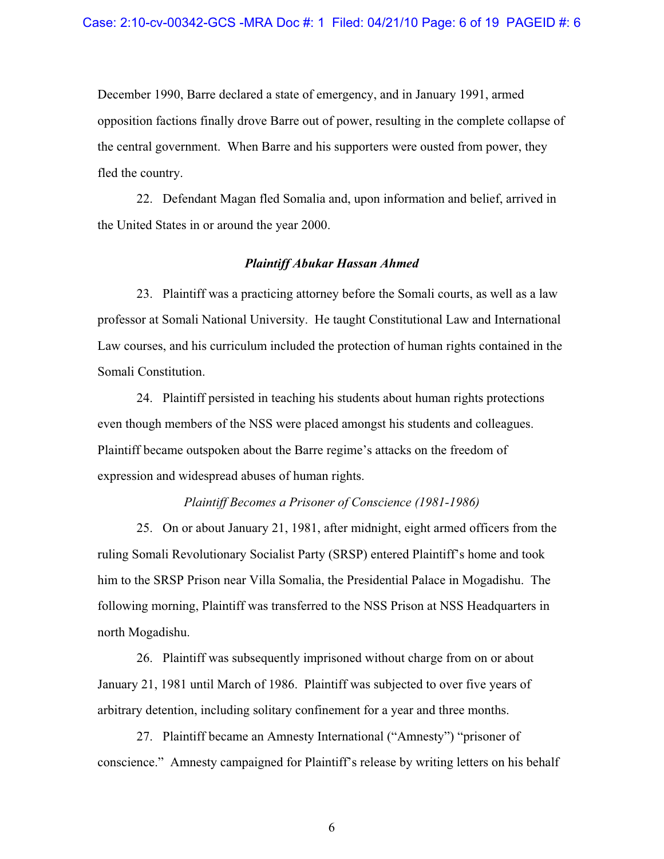December 1990, Barre declared a state of emergency, and in January 1991, armed opposition factions finally drove Barre out of power, resulting in the complete collapse of the central government. When Barre and his supporters were ousted from power, they fled the country.

22. Defendant Magan fled Somalia and, upon information and belief, arrived in the United States in or around the year 2000.

#### *Plaintiff Abukar Hassan Ahmed*

23. Plaintiff was a practicing attorney before the Somali courts, as well as a law professor at Somali National University. He taught Constitutional Law and International Law courses, and his curriculum included the protection of human rights contained in the Somali Constitution.

24. Plaintiff persisted in teaching his students about human rights protections even though members of the NSS were placed amongst his students and colleagues. Plaintiff became outspoken about the Barre regime's attacks on the freedom of expression and widespread abuses of human rights.

## *Plaintiff Becomes a Prisoner of Conscience (1981-1986)*

25. On or about January 21, 1981, after midnight, eight armed officers from the ruling Somali Revolutionary Socialist Party (SRSP) entered Plaintiff's home and took him to the SRSP Prison near Villa Somalia, the Presidential Palace in Mogadishu. The following morning, Plaintiff was transferred to the NSS Prison at NSS Headquarters in north Mogadishu.

26. Plaintiff was subsequently imprisoned without charge from on or about January 21, 1981 until March of 1986. Plaintiff was subjected to over five years of arbitrary detention, including solitary confinement for a year and three months.

27. Plaintiff became an Amnesty International ("Amnesty") "prisoner of conscience." Amnesty campaigned for Plaintiff's release by writing letters on his behalf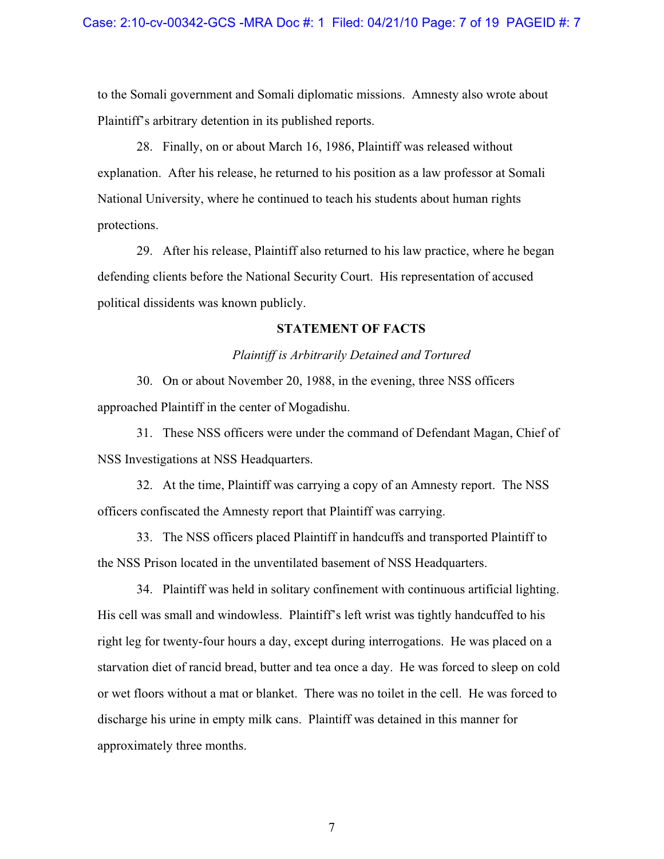to the Somali government and Somali diplomatic missions. Amnesty also wrote about Plaintiff's arbitrary detention in its published reports.

28. Finally, on or about March 16, 1986, Plaintiff was released without explanation. After his release, he returned to his position as a law professor at Somali National University, where he continued to teach his students about human rights protections.

29. After his release, Plaintiff also returned to his law practice, where he began defending clients before the National Security Court. His representation of accused political dissidents was known publicly.

#### **STATEMENT OF FACTS**

## *Plaintiff is Arbitrarily Detained and Tortured*

30. On or about November 20, 1988, in the evening, three NSS officers approached Plaintiff in the center of Mogadishu.

31. These NSS officers were under the command of Defendant Magan, Chief of NSS Investigations at NSS Headquarters.

32. At the time, Plaintiff was carrying a copy of an Amnesty report. The NSS officers confiscated the Amnesty report that Plaintiff was carrying.

33. The NSS officers placed Plaintiff in handcuffs and transported Plaintiff to the NSS Prison located in the unventilated basement of NSS Headquarters.

34. Plaintiff was held in solitary confinement with continuous artificial lighting. His cell was small and windowless. Plaintiff's left wrist was tightly handcuffed to his right leg for twenty-four hours a day, except during interrogations. He was placed on a starvation diet of rancid bread, butter and tea once a day. He was forced to sleep on cold or wet floors without a mat or blanket. There was no toilet in the cell. He was forced to discharge his urine in empty milk cans. Plaintiff was detained in this manner for approximately three months.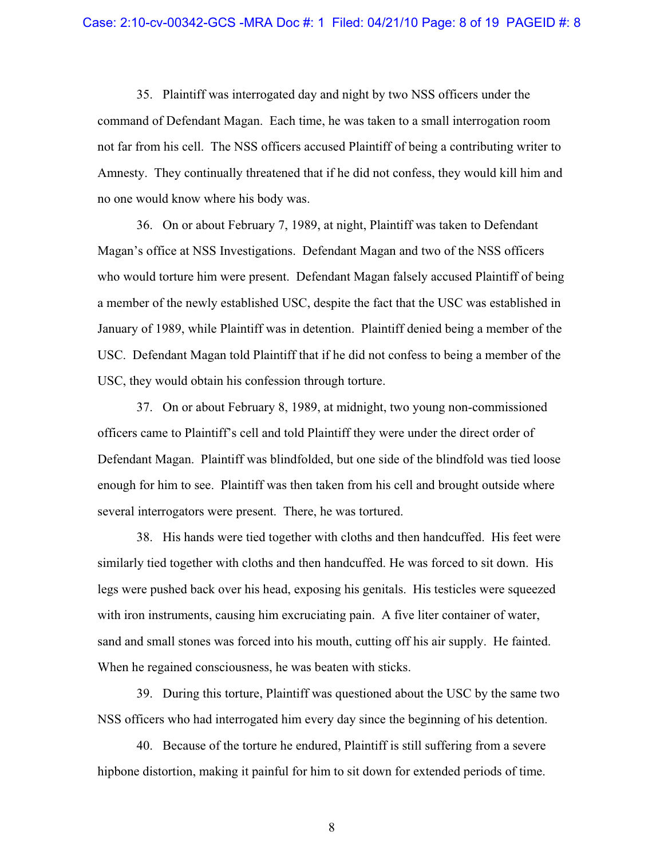35. Plaintiff was interrogated day and night by two NSS officers under the command of Defendant Magan. Each time, he was taken to a small interrogation room not far from his cell. The NSS officers accused Plaintiff of being a contributing writer to Amnesty. They continually threatened that if he did not confess, they would kill him and no one would know where his body was.

36. On or about February 7, 1989, at night, Plaintiff was taken to Defendant Magan's office at NSS Investigations. Defendant Magan and two of the NSS officers who would torture him were present. Defendant Magan falsely accused Plaintiff of being a member of the newly established USC, despite the fact that the USC was established in January of 1989, while Plaintiff was in detention. Plaintiff denied being a member of the USC. Defendant Magan told Plaintiff that if he did not confess to being a member of the USC, they would obtain his confession through torture.

37. On or about February 8, 1989, at midnight, two young non-commissioned officers came to Plaintiff's cell and told Plaintiff they were under the direct order of Defendant Magan. Plaintiff was blindfolded, but one side of the blindfold was tied loose enough for him to see. Plaintiff was then taken from his cell and brought outside where several interrogators were present. There, he was tortured.

38. His hands were tied together with cloths and then handcuffed. His feet were similarly tied together with cloths and then handcuffed. He was forced to sit down. His legs were pushed back over his head, exposing his genitals. His testicles were squeezed with iron instruments, causing him excruciating pain. A five liter container of water, sand and small stones was forced into his mouth, cutting off his air supply. He fainted. When he regained consciousness, he was beaten with sticks.

39. During this torture, Plaintiff was questioned about the USC by the same two NSS officers who had interrogated him every day since the beginning of his detention.

40. Because of the torture he endured, Plaintiff is still suffering from a severe hipbone distortion, making it painful for him to sit down for extended periods of time.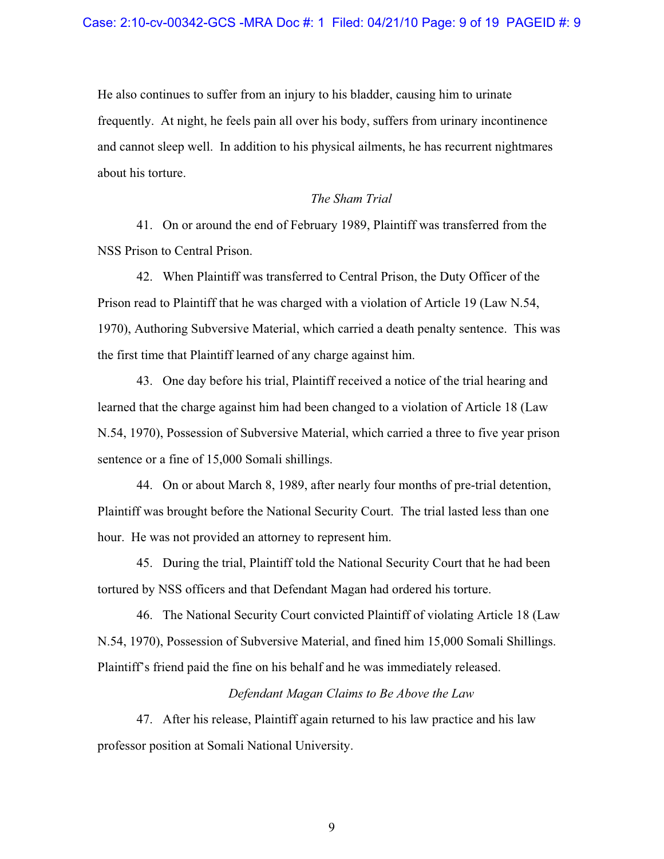He also continues to suffer from an injury to his bladder, causing him to urinate frequently. At night, he feels pain all over his body, suffers from urinary incontinence and cannot sleep well. In addition to his physical ailments, he has recurrent nightmares about his torture.

#### *The Sham Trial*

41. On or around the end of February 1989, Plaintiff was transferred from the NSS Prison to Central Prison.

42. When Plaintiff was transferred to Central Prison, the Duty Officer of the Prison read to Plaintiff that he was charged with a violation of Article 19 (Law N.54, 1970), Authoring Subversive Material, which carried a death penalty sentence. This was the first time that Plaintiff learned of any charge against him.

43. One day before his trial, Plaintiff received a notice of the trial hearing and learned that the charge against him had been changed to a violation of Article 18 (Law N.54, 1970), Possession of Subversive Material, which carried a three to five year prison sentence or a fine of 15,000 Somali shillings.

44. On or about March 8, 1989, after nearly four months of pre-trial detention, Plaintiff was brought before the National Security Court. The trial lasted less than one hour. He was not provided an attorney to represent him.

45. During the trial, Plaintiff told the National Security Court that he had been tortured by NSS officers and that Defendant Magan had ordered his torture.

46. The National Security Court convicted Plaintiff of violating Article 18 (Law N.54, 1970), Possession of Subversive Material, and fined him 15,000 Somali Shillings. Plaintiff's friend paid the fine on his behalf and he was immediately released.

## *Defendant Magan Claims to Be Above the Law*

47. After his release, Plaintiff again returned to his law practice and his law professor position at Somali National University.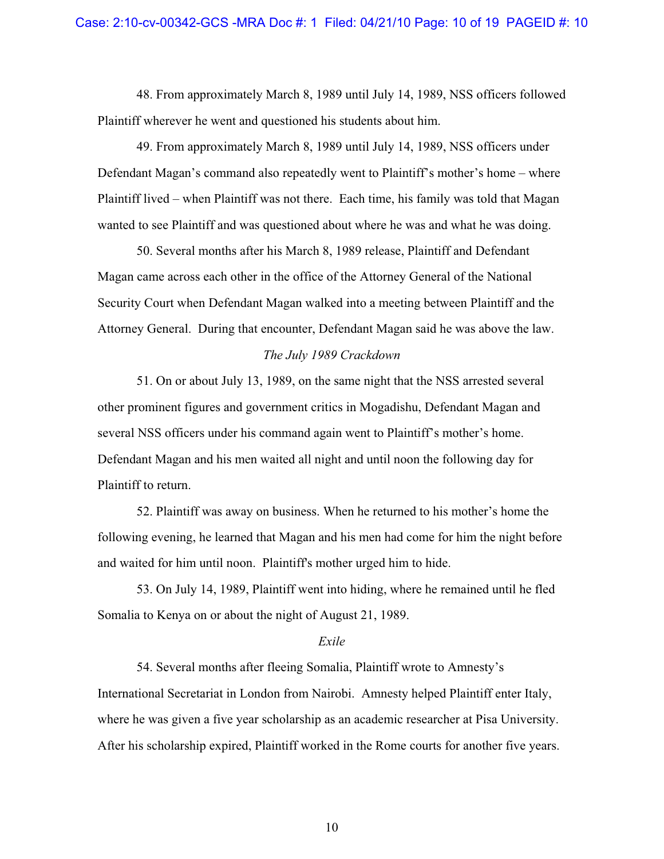48. From approximately March 8, 1989 until July 14, 1989, NSS officers followed Plaintiff wherever he went and questioned his students about him.

49. From approximately March 8, 1989 until July 14, 1989, NSS officers under Defendant Magan's command also repeatedly went to Plaintiff's mother's home – where Plaintiff lived – when Plaintiff was not there. Each time, his family was told that Magan wanted to see Plaintiff and was questioned about where he was and what he was doing.

50. Several months after his March 8, 1989 release, Plaintiff and Defendant Magan came across each other in the office of the Attorney General of the National Security Court when Defendant Magan walked into a meeting between Plaintiff and the Attorney General. During that encounter, Defendant Magan said he was above the law.

#### *The July 1989 Crackdown*

51. On or about July 13, 1989, on the same night that the NSS arrested several other prominent figures and government critics in Mogadishu, Defendant Magan and several NSS officers under his command again went to Plaintiff's mother's home. Defendant Magan and his men waited all night and until noon the following day for Plaintiff to return.

52. Plaintiff was away on business. When he returned to his mother's home the following evening, he learned that Magan and his men had come for him the night before and waited for him until noon. Plaintiff's mother urged him to hide.

53. On July 14, 1989, Plaintiff went into hiding, where he remained until he fled Somalia to Kenya on or about the night of August 21, 1989.

#### *Exile*

54. Several months after fleeing Somalia, Plaintiff wrote to Amnesty's International Secretariat in London from Nairobi. Amnesty helped Plaintiff enter Italy, where he was given a five year scholarship as an academic researcher at Pisa University. After his scholarship expired, Plaintiff worked in the Rome courts for another five years.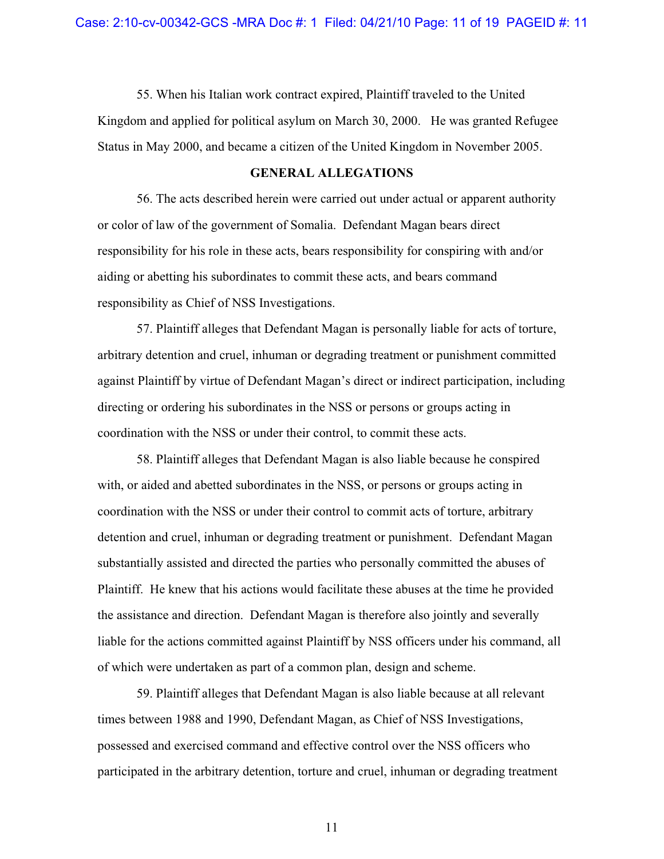55. When his Italian work contract expired, Plaintiff traveled to the United Kingdom and applied for political asylum on March 30, 2000. He was granted Refugee Status in May 2000, and became a citizen of the United Kingdom in November 2005.

## **GENERAL ALLEGATIONS**

56. The acts described herein were carried out under actual or apparent authority or color of law of the government of Somalia. Defendant Magan bears direct responsibility for his role in these acts, bears responsibility for conspiring with and/or aiding or abetting his subordinates to commit these acts, and bears command responsibility as Chief of NSS Investigations.

57. Plaintiff alleges that Defendant Magan is personally liable for acts of torture, arbitrary detention and cruel, inhuman or degrading treatment or punishment committed against Plaintiff by virtue of Defendant Magan's direct or indirect participation, including directing or ordering his subordinates in the NSS or persons or groups acting in coordination with the NSS or under their control, to commit these acts.

58. Plaintiff alleges that Defendant Magan is also liable because he conspired with, or aided and abetted subordinates in the NSS, or persons or groups acting in coordination with the NSS or under their control to commit acts of torture, arbitrary detention and cruel, inhuman or degrading treatment or punishment. Defendant Magan substantially assisted and directed the parties who personally committed the abuses of Plaintiff. He knew that his actions would facilitate these abuses at the time he provided the assistance and direction. Defendant Magan is therefore also jointly and severally liable for the actions committed against Plaintiff by NSS officers under his command, all of which were undertaken as part of a common plan, design and scheme.

59. Plaintiff alleges that Defendant Magan is also liable because at all relevant times between 1988 and 1990, Defendant Magan, as Chief of NSS Investigations, possessed and exercised command and effective control over the NSS officers who participated in the arbitrary detention, torture and cruel, inhuman or degrading treatment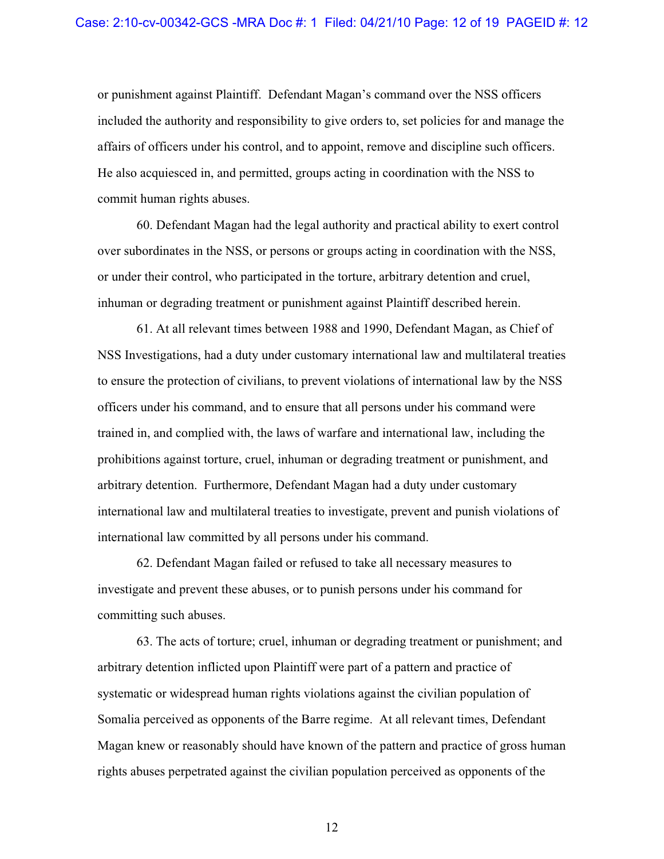or punishment against Plaintiff. Defendant Magan's command over the NSS officers included the authority and responsibility to give orders to, set policies for and manage the affairs of officers under his control, and to appoint, remove and discipline such officers. He also acquiesced in, and permitted, groups acting in coordination with the NSS to commit human rights abuses.

60. Defendant Magan had the legal authority and practical ability to exert control over subordinates in the NSS, or persons or groups acting in coordination with the NSS, or under their control, who participated in the torture, arbitrary detention and cruel, inhuman or degrading treatment or punishment against Plaintiff described herein.

61. At all relevant times between 1988 and 1990, Defendant Magan, as Chief of NSS Investigations, had a duty under customary international law and multilateral treaties to ensure the protection of civilians, to prevent violations of international law by the NSS officers under his command, and to ensure that all persons under his command were trained in, and complied with, the laws of warfare and international law, including the prohibitions against torture, cruel, inhuman or degrading treatment or punishment, and arbitrary detention. Furthermore, Defendant Magan had a duty under customary international law and multilateral treaties to investigate, prevent and punish violations of international law committed by all persons under his command.

62. Defendant Magan failed or refused to take all necessary measures to investigate and prevent these abuses, or to punish persons under his command for committing such abuses.

63. The acts of torture; cruel, inhuman or degrading treatment or punishment; and arbitrary detention inflicted upon Plaintiff were part of a pattern and practice of systematic or widespread human rights violations against the civilian population of Somalia perceived as opponents of the Barre regime. At all relevant times, Defendant Magan knew or reasonably should have known of the pattern and practice of gross human rights abuses perpetrated against the civilian population perceived as opponents of the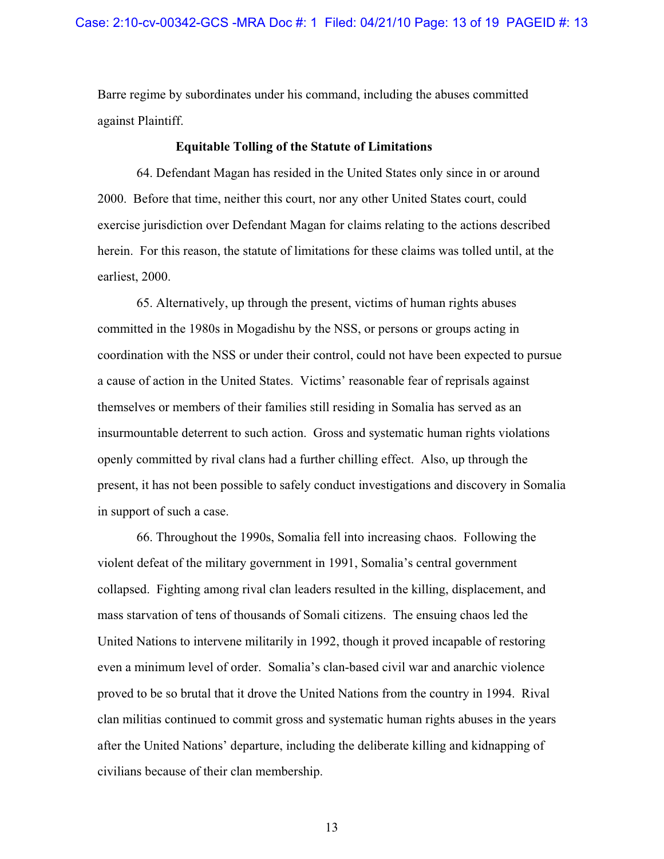Barre regime by subordinates under his command, including the abuses committed against Plaintiff.

#### **Equitable Tolling of the Statute of Limitations**

64. Defendant Magan has resided in the United States only since in or around 2000. Before that time, neither this court, nor any other United States court, could exercise jurisdiction over Defendant Magan for claims relating to the actions described herein. For this reason, the statute of limitations for these claims was tolled until, at the earliest, 2000.

65. Alternatively, up through the present, victims of human rights abuses committed in the 1980s in Mogadishu by the NSS, or persons or groups acting in coordination with the NSS or under their control, could not have been expected to pursue a cause of action in the United States. Victims' reasonable fear of reprisals against themselves or members of their families still residing in Somalia has served as an insurmountable deterrent to such action. Gross and systematic human rights violations openly committed by rival clans had a further chilling effect. Also, up through the present, it has not been possible to safely conduct investigations and discovery in Somalia in support of such a case.

66. Throughout the 1990s, Somalia fell into increasing chaos. Following the violent defeat of the military government in 1991, Somalia's central government collapsed. Fighting among rival clan leaders resulted in the killing, displacement, and mass starvation of tens of thousands of Somali citizens. The ensuing chaos led the United Nations to intervene militarily in 1992, though it proved incapable of restoring even a minimum level of order. Somalia's clan-based civil war and anarchic violence proved to be so brutal that it drove the United Nations from the country in 1994. Rival clan militias continued to commit gross and systematic human rights abuses in the years after the United Nations' departure, including the deliberate killing and kidnapping of civilians because of their clan membership.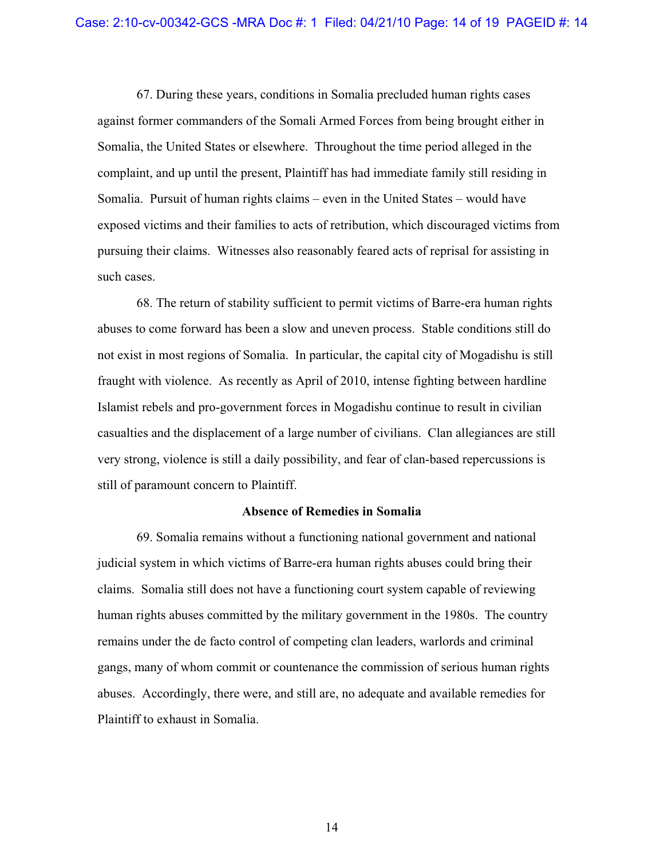67. During these years, conditions in Somalia precluded human rights cases against former commanders of the Somali Armed Forces from being brought either in Somalia, the United States or elsewhere. Throughout the time period alleged in the complaint, and up until the present, Plaintiff has had immediate family still residing in Somalia. Pursuit of human rights claims – even in the United States – would have exposed victims and their families to acts of retribution, which discouraged victims from pursuing their claims. Witnesses also reasonably feared acts of reprisal for assisting in such cases.

68. The return of stability sufficient to permit victims of Barre-era human rights abuses to come forward has been a slow and uneven process. Stable conditions still do not exist in most regions of Somalia. In particular, the capital city of Mogadishu is still fraught with violence. As recently as April of 2010, intense fighting between hardline Islamist rebels and pro-government forces in Mogadishu continue to result in civilian casualties and the displacement of a large number of civilians. Clan allegiances are still very strong, violence is still a daily possibility, and fear of clan-based repercussions is still of paramount concern to Plaintiff.

#### **Absence of Remedies in Somalia**

69. Somalia remains without a functioning national government and national judicial system in which victims of Barre-era human rights abuses could bring their claims. Somalia still does not have a functioning court system capable of reviewing human rights abuses committed by the military government in the 1980s. The country remains under the de facto control of competing clan leaders, warlords and criminal gangs, many of whom commit or countenance the commission of serious human rights abuses. Accordingly, there were, and still are, no adequate and available remedies for Plaintiff to exhaust in Somalia.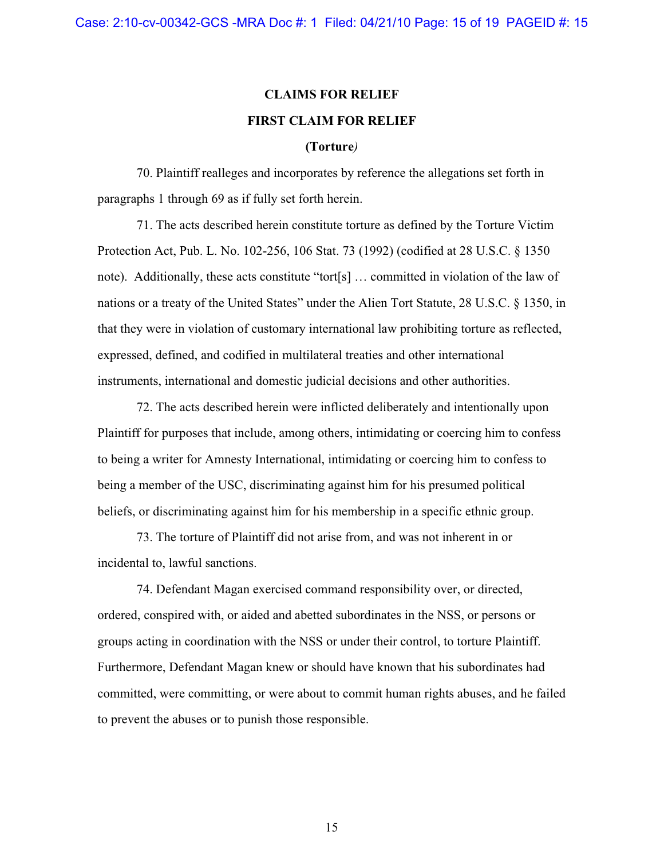## **CLAIMS FOR RELIEF FIRST CLAIM FOR RELIEF**

#### **(Torture***)*

70. Plaintiff realleges and incorporates by reference the allegations set forth in paragraphs 1 through 69 as if fully set forth herein.

71. The acts described herein constitute torture as defined by the Torture Victim Protection Act, Pub. L. No. 102-256, 106 Stat. 73 (1992) (codified at 28 U.S.C. § 1350 note). Additionally, these acts constitute "tort[s] … committed in violation of the law of nations or a treaty of the United States" under the Alien Tort Statute, 28 U.S.C. § 1350, in that they were in violation of customary international law prohibiting torture as reflected, expressed, defined, and codified in multilateral treaties and other international instruments, international and domestic judicial decisions and other authorities.

72. The acts described herein were inflicted deliberately and intentionally upon Plaintiff for purposes that include, among others, intimidating or coercing him to confess to being a writer for Amnesty International, intimidating or coercing him to confess to being a member of the USC, discriminating against him for his presumed political beliefs, or discriminating against him for his membership in a specific ethnic group.

73. The torture of Plaintiff did not arise from, and was not inherent in or incidental to, lawful sanctions.

74. Defendant Magan exercised command responsibility over, or directed, ordered, conspired with, or aided and abetted subordinates in the NSS, or persons or groups acting in coordination with the NSS or under their control, to torture Plaintiff. Furthermore, Defendant Magan knew or should have known that his subordinates had committed, were committing, or were about to commit human rights abuses, and he failed to prevent the abuses or to punish those responsible.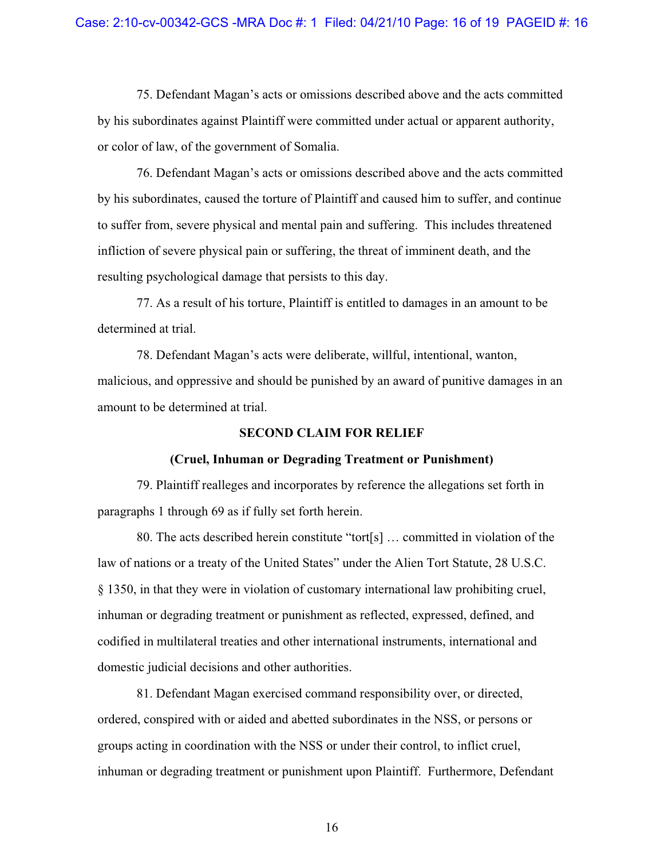75. Defendant Magan's acts or omissions described above and the acts committed by his subordinates against Plaintiff were committed under actual or apparent authority, or color of law, of the government of Somalia.

76. Defendant Magan's acts or omissions described above and the acts committed by his subordinates, caused the torture of Plaintiff and caused him to suffer, and continue to suffer from, severe physical and mental pain and suffering. This includes threatened infliction of severe physical pain or suffering, the threat of imminent death, and the resulting psychological damage that persists to this day.

77. As a result of his torture, Plaintiff is entitled to damages in an amount to be determined at trial.

78. Defendant Magan's acts were deliberate, willful, intentional, wanton, malicious, and oppressive and should be punished by an award of punitive damages in an amount to be determined at trial.

## **SECOND CLAIM FOR RELIEF**

## **(Cruel, Inhuman or Degrading Treatment or Punishment)**

79. Plaintiff realleges and incorporates by reference the allegations set forth in paragraphs 1 through 69 as if fully set forth herein.

80. The acts described herein constitute "tort[s] … committed in violation of the law of nations or a treaty of the United States" under the Alien Tort Statute, 28 U.S.C. § 1350, in that they were in violation of customary international law prohibiting cruel, inhuman or degrading treatment or punishment as reflected, expressed, defined, and codified in multilateral treaties and other international instruments, international and domestic judicial decisions and other authorities.

81. Defendant Magan exercised command responsibility over, or directed, ordered, conspired with or aided and abetted subordinates in the NSS, or persons or groups acting in coordination with the NSS or under their control, to inflict cruel, inhuman or degrading treatment or punishment upon Plaintiff. Furthermore, Defendant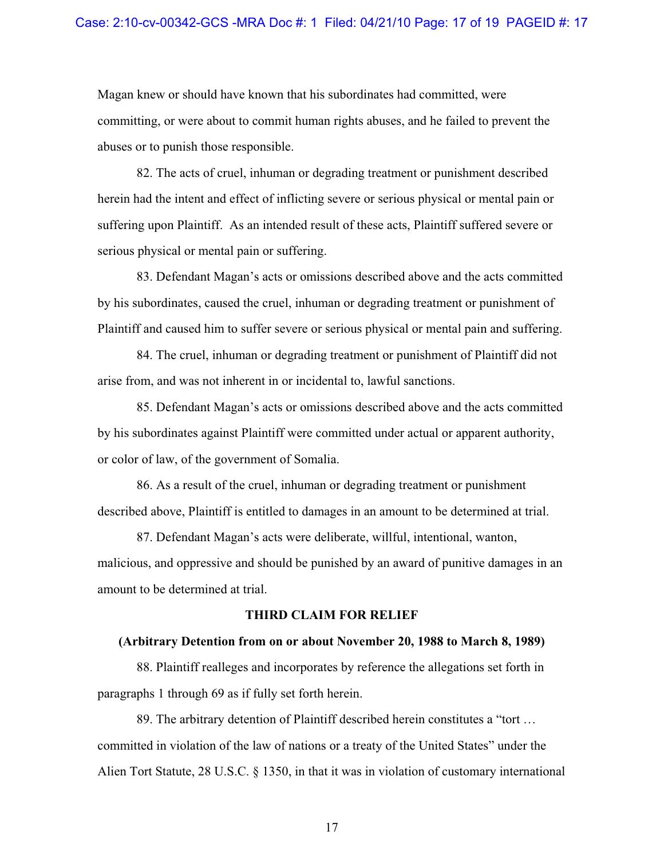Magan knew or should have known that his subordinates had committed, were committing, or were about to commit human rights abuses, and he failed to prevent the abuses or to punish those responsible.

82. The acts of cruel, inhuman or degrading treatment or punishment described herein had the intent and effect of inflicting severe or serious physical or mental pain or suffering upon Plaintiff. As an intended result of these acts, Plaintiff suffered severe or serious physical or mental pain or suffering.

83. Defendant Magan's acts or omissions described above and the acts committed by his subordinates, caused the cruel, inhuman or degrading treatment or punishment of Plaintiff and caused him to suffer severe or serious physical or mental pain and suffering.

84. The cruel, inhuman or degrading treatment or punishment of Plaintiff did not arise from, and was not inherent in or incidental to, lawful sanctions.

85. Defendant Magan's acts or omissions described above and the acts committed by his subordinates against Plaintiff were committed under actual or apparent authority, or color of law, of the government of Somalia.

86. As a result of the cruel, inhuman or degrading treatment or punishment described above, Plaintiff is entitled to damages in an amount to be determined at trial.

87. Defendant Magan's acts were deliberate, willful, intentional, wanton, malicious, and oppressive and should be punished by an award of punitive damages in an amount to be determined at trial.

## **THIRD CLAIM FOR RELIEF**

#### **(Arbitrary Detention from on or about November 20, 1988 to March 8, 1989)**

88. Plaintiff realleges and incorporates by reference the allegations set forth in paragraphs 1 through 69 as if fully set forth herein.

89. The arbitrary detention of Plaintiff described herein constitutes a "tort … committed in violation of the law of nations or a treaty of the United States" under the Alien Tort Statute, 28 U.S.C. § 1350, in that it was in violation of customary international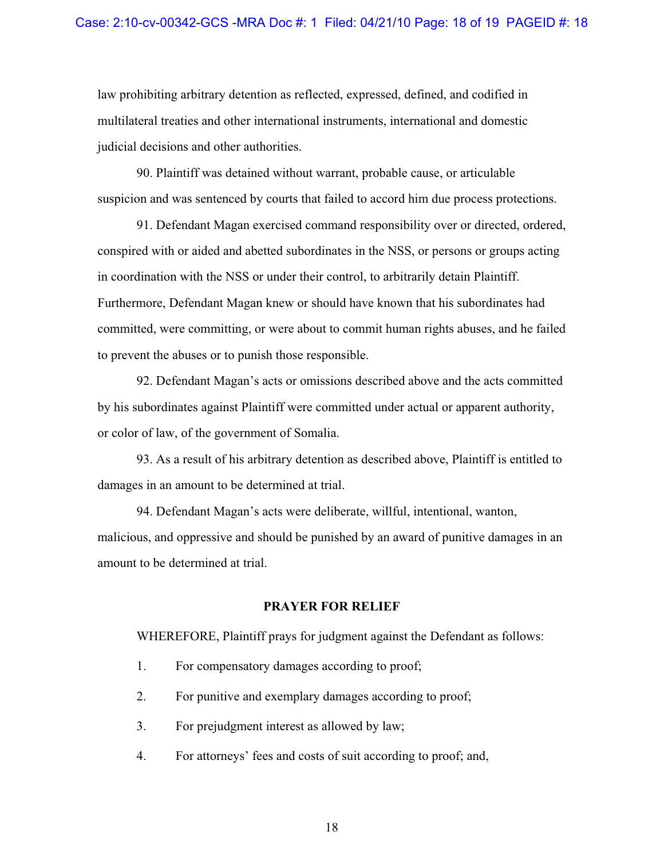law prohibiting arbitrary detention as reflected, expressed, defined, and codified in multilateral treaties and other international instruments, international and domestic judicial decisions and other authorities.

90. Plaintiff was detained without warrant, probable cause, or articulable suspicion and was sentenced by courts that failed to accord him due process protections.

91. Defendant Magan exercised command responsibility over or directed, ordered, conspired with or aided and abetted subordinates in the NSS, or persons or groups acting in coordination with the NSS or under their control, to arbitrarily detain Plaintiff. Furthermore, Defendant Magan knew or should have known that his subordinates had committed, were committing, or were about to commit human rights abuses, and he failed to prevent the abuses or to punish those responsible.

92. Defendant Magan's acts or omissions described above and the acts committed by his subordinates against Plaintiff were committed under actual or apparent authority, or color of law, of the government of Somalia.

93. As a result of his arbitrary detention as described above, Plaintiff is entitled to damages in an amount to be determined at trial.

94. Defendant Magan's acts were deliberate, willful, intentional, wanton, malicious, and oppressive and should be punished by an award of punitive damages in an amount to be determined at trial.

## **PRAYER FOR RELIEF**

WHEREFORE, Plaintiff prays for judgment against the Defendant as follows:

- 1. For compensatory damages according to proof;
- 2. For punitive and exemplary damages according to proof;
- 3. For prejudgment interest as allowed by law;
- 4. For attorneys' fees and costs of suit according to proof; and,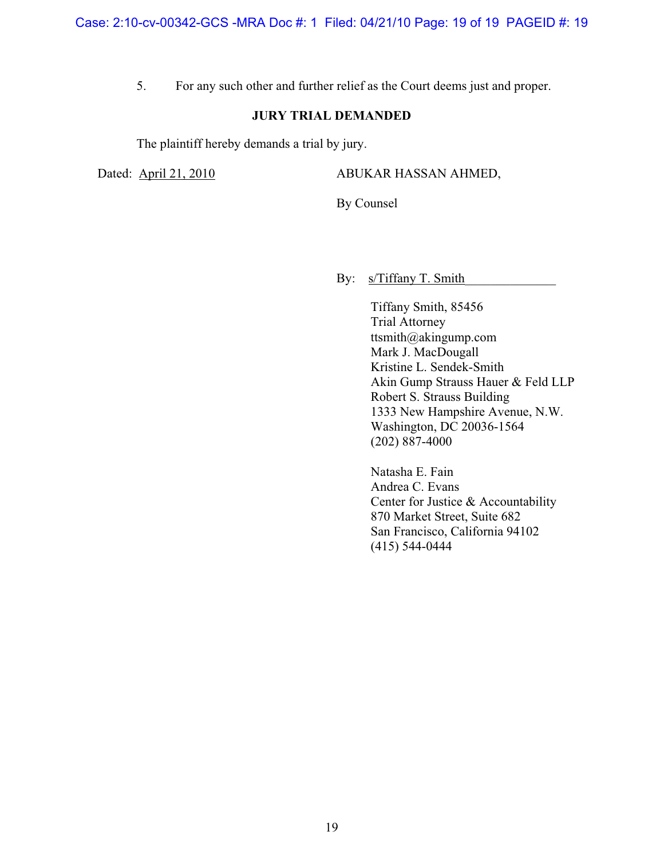5. For any such other and further relief as the Court deems just and proper.

## **JURY TRIAL DEMANDED**

The plaintiff hereby demands a trial by jury.

Dated: April 21, 2010 ABUKAR HASSAN AHMED,

By Counsel

By: <u>s/Tiffany T. Smith</u>

Tiffany Smith, 85456 Trial Attorney ttsmith@akingump.com Mark J. MacDougall Kristine L. Sendek-Smith Akin Gump Strauss Hauer & Feld LLP Robert S. Strauss Building 1333 New Hampshire Avenue, N.W. Washington, DC 20036-1564 (202) 887-4000

Natasha E. Fain Andrea C. Evans Center for Justice & Accountability 870 Market Street, Suite 682 San Francisco, California 94102 (415) 544-0444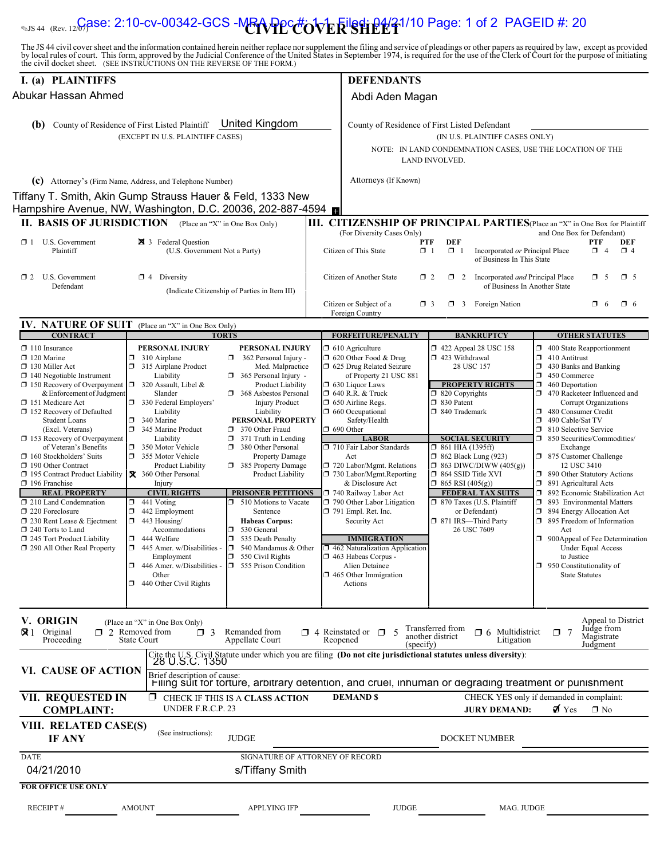# <sub>ss 44 (Rev. 12**Case: 2:10-cv-00342-GCS -MRA Ppc#ov** Եk <mark>Eilsdi P4/21/10 Page: 1 of 2 PAGEID #: 20</mark></sub>

The JS 44 civil cover sheet and the information contained herein neither replace nor supplement the filing and service of pleadings or other papers as required by law, except as provided<br>by local rules of court. This form,

| I. (a) PLAINTIFFS                                                                                                                                                                                                                                                                                                                                                                                                                                                                                                                                                                                                                                               |                                                                                                                                                                                                                                                                                                                                                                                                                                                                                                                                                                                                                                                                                                                                                                                                                                                                                                                                                                                                                                                                                                                                                                                                                               | <b>DEFENDANTS</b>                                                                                                                                                                                                                                                                                                                                                                                                                                                                                                                                                                                                                                      |                                                                                                                                                                                                                                                                                                                                                                                                                                                 |                                                                                                                                                                                                                                                                                                                                                                                                                                                                                                                                                                                                                                                                                                                                   |  |
|-----------------------------------------------------------------------------------------------------------------------------------------------------------------------------------------------------------------------------------------------------------------------------------------------------------------------------------------------------------------------------------------------------------------------------------------------------------------------------------------------------------------------------------------------------------------------------------------------------------------------------------------------------------------|-------------------------------------------------------------------------------------------------------------------------------------------------------------------------------------------------------------------------------------------------------------------------------------------------------------------------------------------------------------------------------------------------------------------------------------------------------------------------------------------------------------------------------------------------------------------------------------------------------------------------------------------------------------------------------------------------------------------------------------------------------------------------------------------------------------------------------------------------------------------------------------------------------------------------------------------------------------------------------------------------------------------------------------------------------------------------------------------------------------------------------------------------------------------------------------------------------------------------------|--------------------------------------------------------------------------------------------------------------------------------------------------------------------------------------------------------------------------------------------------------------------------------------------------------------------------------------------------------------------------------------------------------------------------------------------------------------------------------------------------------------------------------------------------------------------------------------------------------------------------------------------------------|-------------------------------------------------------------------------------------------------------------------------------------------------------------------------------------------------------------------------------------------------------------------------------------------------------------------------------------------------------------------------------------------------------------------------------------------------|-----------------------------------------------------------------------------------------------------------------------------------------------------------------------------------------------------------------------------------------------------------------------------------------------------------------------------------------------------------------------------------------------------------------------------------------------------------------------------------------------------------------------------------------------------------------------------------------------------------------------------------------------------------------------------------------------------------------------------------|--|
| Abukar Hassan Ahmed                                                                                                                                                                                                                                                                                                                                                                                                                                                                                                                                                                                                                                             |                                                                                                                                                                                                                                                                                                                                                                                                                                                                                                                                                                                                                                                                                                                                                                                                                                                                                                                                                                                                                                                                                                                                                                                                                               |                                                                                                                                                                                                                                                                                                                                                                                                                                                                                                                                                                                                                                                        | Abdi Aden Magan                                                                                                                                                                                                                                                                                                                                                                                                                                 |                                                                                                                                                                                                                                                                                                                                                                                                                                                                                                                                                                                                                                                                                                                                   |  |
| County of Residence of First Listed Plaintiff <b>United Kingdom</b><br>(b)<br>(EXCEPT IN U.S. PLAINTIFF CASES)                                                                                                                                                                                                                                                                                                                                                                                                                                                                                                                                                  |                                                                                                                                                                                                                                                                                                                                                                                                                                                                                                                                                                                                                                                                                                                                                                                                                                                                                                                                                                                                                                                                                                                                                                                                                               |                                                                                                                                                                                                                                                                                                                                                                                                                                                                                                                                                                                                                                                        | County of Residence of First Listed Defendant<br>(IN U.S. PLAINTIFF CASES ONLY)<br>NOTE: IN LAND CONDEMNATION CASES, USE THE LOCATION OF THE<br>LAND INVOLVED.                                                                                                                                                                                                                                                                                  |                                                                                                                                                                                                                                                                                                                                                                                                                                                                                                                                                                                                                                                                                                                                   |  |
|                                                                                                                                                                                                                                                                                                                                                                                                                                                                                                                                                                                                                                                                 | (c) Attorney's (Firm Name, Address, and Telephone Number)<br>Tiffany T. Smith, Akin Gump Strauss Hauer & Feld, 1333 New<br>Hampshire Avenue, NW, Washington, D.C. 20036, 202-887-4594 <b>D</b>                                                                                                                                                                                                                                                                                                                                                                                                                                                                                                                                                                                                                                                                                                                                                                                                                                                                                                                                                                                                                                | Attorneys (If Known)                                                                                                                                                                                                                                                                                                                                                                                                                                                                                                                                                                                                                                   |                                                                                                                                                                                                                                                                                                                                                                                                                                                 |                                                                                                                                                                                                                                                                                                                                                                                                                                                                                                                                                                                                                                                                                                                                   |  |
|                                                                                                                                                                                                                                                                                                                                                                                                                                                                                                                                                                                                                                                                 | <b>II. BASIS OF JURISDICTION</b> (Place an "X" in One Box Only)                                                                                                                                                                                                                                                                                                                                                                                                                                                                                                                                                                                                                                                                                                                                                                                                                                                                                                                                                                                                                                                                                                                                                               | (For Diversity Cases Only)                                                                                                                                                                                                                                                                                                                                                                                                                                                                                                                                                                                                                             |                                                                                                                                                                                                                                                                                                                                                                                                                                                 | III. CITIZENSHIP OF PRINCIPAL PARTIES (Place an "X" in One Box for Plaintiff<br>and One Box for Defendant)                                                                                                                                                                                                                                                                                                                                                                                                                                                                                                                                                                                                                        |  |
| U.S. Government<br>$\Box$ 1<br>Plaintiff                                                                                                                                                                                                                                                                                                                                                                                                                                                                                                                                                                                                                        | <b>X</b> 3 Federal Question<br>(U.S. Government Not a Party)                                                                                                                                                                                                                                                                                                                                                                                                                                                                                                                                                                                                                                                                                                                                                                                                                                                                                                                                                                                                                                                                                                                                                                  | PTF<br>Citizen of This State<br>$\Box$ 1                                                                                                                                                                                                                                                                                                                                                                                                                                                                                                                                                                                                               | <b>DEF</b><br>$\Box$ 1<br>Incorporated or Principal Place<br>of Business In This State                                                                                                                                                                                                                                                                                                                                                          | <b>PTF</b><br>DEF<br>$\Box$ 4<br>$\Box$ 4                                                                                                                                                                                                                                                                                                                                                                                                                                                                                                                                                                                                                                                                                         |  |
| U.S. Government<br>$\Box$ 2<br>Defendant                                                                                                                                                                                                                                                                                                                                                                                                                                                                                                                                                                                                                        | $\Box$ 4 Diversity<br>(Indicate Citizenship of Parties in Item III)                                                                                                                                                                                                                                                                                                                                                                                                                                                                                                                                                                                                                                                                                                                                                                                                                                                                                                                                                                                                                                                                                                                                                           | Citizen of Another State<br>$\Box$ 2                                                                                                                                                                                                                                                                                                                                                                                                                                                                                                                                                                                                                   | Incorporated and Principal Place<br>$\Box$ 2<br>of Business In Another State                                                                                                                                                                                                                                                                                                                                                                    | $\Box$ 5<br>$\Box$ 5                                                                                                                                                                                                                                                                                                                                                                                                                                                                                                                                                                                                                                                                                                              |  |
|                                                                                                                                                                                                                                                                                                                                                                                                                                                                                                                                                                                                                                                                 |                                                                                                                                                                                                                                                                                                                                                                                                                                                                                                                                                                                                                                                                                                                                                                                                                                                                                                                                                                                                                                                                                                                                                                                                                               | Citizen or Subject of a<br>$\Box$ 3<br>Foreign Country                                                                                                                                                                                                                                                                                                                                                                                                                                                                                                                                                                                                 | Foreign Nation<br>σ<br>$\overline{\mathbf{3}}$                                                                                                                                                                                                                                                                                                                                                                                                  | $\Box$ 6<br>$\Box$ 6                                                                                                                                                                                                                                                                                                                                                                                                                                                                                                                                                                                                                                                                                                              |  |
| <b>IV. NATURE OF SUIT</b>                                                                                                                                                                                                                                                                                                                                                                                                                                                                                                                                                                                                                                       | (Place an "X" in One Box Only)                                                                                                                                                                                                                                                                                                                                                                                                                                                                                                                                                                                                                                                                                                                                                                                                                                                                                                                                                                                                                                                                                                                                                                                                |                                                                                                                                                                                                                                                                                                                                                                                                                                                                                                                                                                                                                                                        |                                                                                                                                                                                                                                                                                                                                                                                                                                                 |                                                                                                                                                                                                                                                                                                                                                                                                                                                                                                                                                                                                                                                                                                                                   |  |
| <b>CONTRACT</b>                                                                                                                                                                                                                                                                                                                                                                                                                                                                                                                                                                                                                                                 | <b>TORTS</b>                                                                                                                                                                                                                                                                                                                                                                                                                                                                                                                                                                                                                                                                                                                                                                                                                                                                                                                                                                                                                                                                                                                                                                                                                  | <b>FORFEITURE/PENALTY</b>                                                                                                                                                                                                                                                                                                                                                                                                                                                                                                                                                                                                                              | <b>BANKRUPTCY</b>                                                                                                                                                                                                                                                                                                                                                                                                                               | <b>OTHER STATUTES</b>                                                                                                                                                                                                                                                                                                                                                                                                                                                                                                                                                                                                                                                                                                             |  |
| $\Box$ 110 Insurance<br>$\Box$ 120 Marine<br>$\Box$ 130 Miller Act<br>$\Box$ 140 Negotiable Instrument<br>$\Box$ 150 Recovery of Overpayment<br>& Enforcement of Judgment<br>151 Medicare Act<br>□ 152 Recovery of Defaulted<br><b>Student Loans</b><br>(Excl. Veterans)<br>$\Box$ 153 Recovery of Overpayment<br>of Veteran's Benefits<br>$\Box$ 160 Stockholders' Suits<br>190 Other Contract<br>□ 195 Contract Product Liability<br>196 Franchise<br><b>REAL PROPERTY</b><br>210 Land Condemnation<br>$\Box$ 220 Foreclosure<br>□ 230 Rent Lease & Ejectment<br>$\Box$ 240 Torts to Land<br>$\Box$ 245 Tort Product Liability<br>290 All Other Real Property | PERSONAL INJURY<br>PERSONAL INJURY<br>310 Airplane<br>$\Box$<br>$\Box$ 362 Personal Injury -<br>σ<br>315 Airplane Product<br>Med. Malpractice<br>Liability<br>$\Box$ 365 Personal Injury -<br>$\Box$<br>320 Assault, Libel &<br><b>Product Liability</b><br>Slander<br>368 Asbestos Personal<br>330 Federal Employers'<br><b>Injury Product</b><br>Liability<br>Liability<br>σ.<br>340 Marine<br>PERSONAL PROPERTY<br>345 Marine Product<br>370 Other Fraud<br>Liability<br>$\Box$ 371 Truth in Lending<br>α.<br>350 Motor Vehicle<br>380 Other Personal<br>Π.<br>355 Motor Vehicle<br><b>Property Damage</b><br><b>Product Liability</b><br>385 Property Damage<br>X 360 Other Personal<br>Product Liability<br>Injury<br><b>CIVIL RIGHTS</b><br><b>PRISONER PETITIONS</b><br>510 Motions to Vacate<br>σ<br>441 Voting<br>σ<br>442 Employment<br>Sentence<br>σ<br>443 Housing/<br><b>Habeas Corpus:</b><br>Accommodations<br>530 General<br>о<br>$\Box$<br>444 Welfare<br>ο.<br>535 Death Penalty<br>$\Box$ 445 Amer. w/Disabilities -<br>IO.<br>540 Mandamus & Other<br>Employment<br>$\Box$ 550 Civil Rights<br>$\Box$ 446 Amer. w/Disabilities -<br>$\Box$ 555 Prison Condition<br>Other<br>$\Box$ 440 Other Civil Rights | $\Box$ 610 Agriculture<br>1 620 Other Food & Drug<br>1 625 Drug Related Seizure<br>of Property 21 USC 881<br>$\Box$ 630 Liquor Laws<br>1 640 R.R. & Truck<br>$\Box$ 650 Airline Regs.<br>$\Box$ 660 Occupational<br>Safety/Health<br>$\Box$ 690 Other<br><b>LABOR</b><br>710 Fair Labor Standards<br>Act<br>720 Labor/Mgmt. Relations<br>730 Labor/Mgmt.Reporting<br>& Disclosure Act<br>740 Railway Labor Act<br>$\Box$ 790 Other Labor Litigation<br>$\Box$ 791 Empl. Ret. Inc.<br>Security Act<br><b>IMMIGRATION</b><br>$\Box$ 462 Naturalization Application<br>□ 463 Habeas Corpus -<br>Alien Detainee<br>$\Box$ 465 Other Immigration<br>Actions | 1422 Appeal 28 USC 158<br>1 423 Withdrawal<br>28 USC 157<br><b>PROPERTY RIGHTS</b><br>$\Box$ 820 Copyrights<br>□ 830 Patent<br>□ 840 Trademark<br><b>SOCIAL SECURITY</b><br>$\Box$ 861 HIA (1395ff)<br>$\Box$ 862 Black Lung (923)<br>$\Box$ 863 DIWC/DIWW (405(g))<br>$\Box$ 864 SSID Title XVI<br>$\Box$ 865 RSI (405(g))<br><b>FEDERAL TAX SUITS</b><br>□ 870 Taxes (U.S. Plaintiff<br>or Defendant)<br>□ 871 IRS-Third Party<br>26 USC 7609 | 400 State Reapportionment<br>σ<br>410 Antitrust<br>430 Banks and Banking<br>σ<br>ο.<br>450 Commerce<br>σ<br>460 Deportation<br>Ω.<br>470 Racketeer Influenced and<br>Corrupt Organizations<br>σ<br>480 Consumer Credit<br>σ<br>490 Cable/Sat TV<br>ο.<br>810 Selective Service<br>850 Securities/Commodities/<br>Ω.<br>Exchange<br>□ 875 Customer Challenge<br>12 USC 3410<br>1 890 Other Statutory Actions<br>□ 891 Agricultural Acts<br>□ 892 Economic Stabilization Act<br>σ<br>893 Environmental Matters<br>$\Box$ 894 Energy Allocation Act<br>1 895 Freedom of Information<br>Act<br>900 Appeal of Fee Determination<br><b>Under Equal Access</b><br>to Justice<br>$\Box$ 950 Constitutionality of<br><b>State Statutes</b> |  |
| V. ORIGIN<br>$\mathbf{R}$ 1 Original<br>Proceeding                                                                                                                                                                                                                                                                                                                                                                                                                                                                                                                                                                                                              | (Place an "X" in One Box Only)<br>$\Box$ 2 Removed from<br>Remanded from<br>$\Box$ 3<br><b>State Court</b><br>Appellate Court<br>Cite the U.S. Civil Statute under which you are filing (Do not cite jurisdictional statutes unless diversity):<br>28 U.S.C. 1350                                                                                                                                                                                                                                                                                                                                                                                                                                                                                                                                                                                                                                                                                                                                                                                                                                                                                                                                                             | $\Box$ 4 Reinstated or $\Box$ 5<br>Reopened<br>(specify)                                                                                                                                                                                                                                                                                                                                                                                                                                                                                                                                                                                               | Transferred from<br>$\Box$ 6 Multidistrict<br>another district<br>Litigation                                                                                                                                                                                                                                                                                                                                                                    | Appeal to District<br>Judge from<br>O.<br>Magistrate<br>Judgment                                                                                                                                                                                                                                                                                                                                                                                                                                                                                                                                                                                                                                                                  |  |
| VI. CAUSE OF ACTION                                                                                                                                                                                                                                                                                                                                                                                                                                                                                                                                                                                                                                             | Brief description of cause:<br>Filing suit for torture, arbitrary detention, and cruel, inhuman or degrading treatment or punishment                                                                                                                                                                                                                                                                                                                                                                                                                                                                                                                                                                                                                                                                                                                                                                                                                                                                                                                                                                                                                                                                                          |                                                                                                                                                                                                                                                                                                                                                                                                                                                                                                                                                                                                                                                        |                                                                                                                                                                                                                                                                                                                                                                                                                                                 |                                                                                                                                                                                                                                                                                                                                                                                                                                                                                                                                                                                                                                                                                                                                   |  |
| VII. REQUESTED IN<br><b>COMPLAINT:</b>                                                                                                                                                                                                                                                                                                                                                                                                                                                                                                                                                                                                                          | □<br>CHECK IF THIS IS A CLASS ACTION<br>UNDER F.R.C.P. 23                                                                                                                                                                                                                                                                                                                                                                                                                                                                                                                                                                                                                                                                                                                                                                                                                                                                                                                                                                                                                                                                                                                                                                     | <b>DEMAND \$</b>                                                                                                                                                                                                                                                                                                                                                                                                                                                                                                                                                                                                                                       | <b>JURY DEMAND:</b>                                                                                                                                                                                                                                                                                                                                                                                                                             | CHECK YES only if demanded in complaint:<br>$\blacksquare$ Yes<br>$\Box$ No                                                                                                                                                                                                                                                                                                                                                                                                                                                                                                                                                                                                                                                       |  |
| VIII. RELATED CASE(S)<br>IF ANY                                                                                                                                                                                                                                                                                                                                                                                                                                                                                                                                                                                                                                 | (See instructions):<br><b>JUDGE</b>                                                                                                                                                                                                                                                                                                                                                                                                                                                                                                                                                                                                                                                                                                                                                                                                                                                                                                                                                                                                                                                                                                                                                                                           |                                                                                                                                                                                                                                                                                                                                                                                                                                                                                                                                                                                                                                                        | DOCKET NUMBER                                                                                                                                                                                                                                                                                                                                                                                                                                   |                                                                                                                                                                                                                                                                                                                                                                                                                                                                                                                                                                                                                                                                                                                                   |  |
| <b>DATE</b><br>04/21/2010                                                                                                                                                                                                                                                                                                                                                                                                                                                                                                                                                                                                                                       | SIGNATURE OF ATTORNEY OF RECORD<br>s/Tiffany Smith                                                                                                                                                                                                                                                                                                                                                                                                                                                                                                                                                                                                                                                                                                                                                                                                                                                                                                                                                                                                                                                                                                                                                                            |                                                                                                                                                                                                                                                                                                                                                                                                                                                                                                                                                                                                                                                        |                                                                                                                                                                                                                                                                                                                                                                                                                                                 |                                                                                                                                                                                                                                                                                                                                                                                                                                                                                                                                                                                                                                                                                                                                   |  |
| <b>FOR OFFICE USE ONLY</b>                                                                                                                                                                                                                                                                                                                                                                                                                                                                                                                                                                                                                                      |                                                                                                                                                                                                                                                                                                                                                                                                                                                                                                                                                                                                                                                                                                                                                                                                                                                                                                                                                                                                                                                                                                                                                                                                                               |                                                                                                                                                                                                                                                                                                                                                                                                                                                                                                                                                                                                                                                        |                                                                                                                                                                                                                                                                                                                                                                                                                                                 |                                                                                                                                                                                                                                                                                                                                                                                                                                                                                                                                                                                                                                                                                                                                   |  |
| <b>RECEIPT#</b>                                                                                                                                                                                                                                                                                                                                                                                                                                                                                                                                                                                                                                                 | <b>APPLYING IFP</b><br>AMOUNT                                                                                                                                                                                                                                                                                                                                                                                                                                                                                                                                                                                                                                                                                                                                                                                                                                                                                                                                                                                                                                                                                                                                                                                                 | <b>JUDGE</b>                                                                                                                                                                                                                                                                                                                                                                                                                                                                                                                                                                                                                                           | MAG. JUDGE                                                                                                                                                                                                                                                                                                                                                                                                                                      |                                                                                                                                                                                                                                                                                                                                                                                                                                                                                                                                                                                                                                                                                                                                   |  |